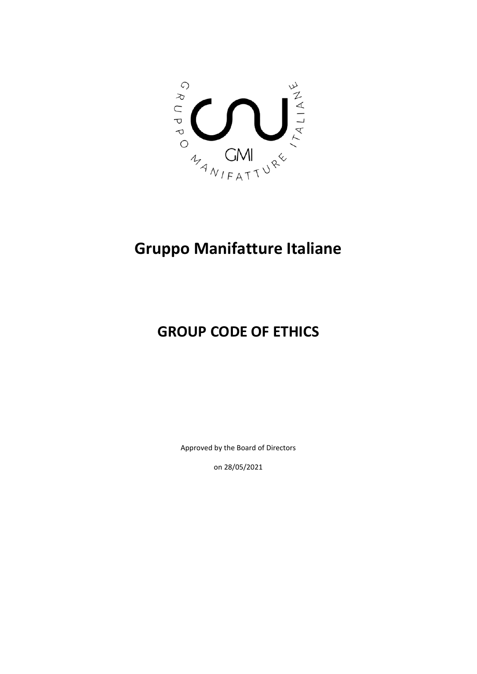

# **Gruppo Manifatture Italiane**

## **GROUP CODE OF ETHICS**

Approved by the Board of Directors

on 28/05/2021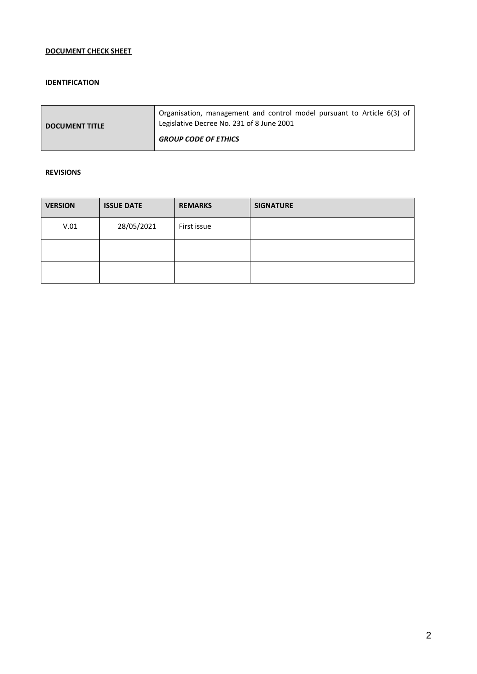## **DOCUMENT CHECK SHEET**

#### **IDENTIFICATION**

| <b>DOCUMENT TITLE</b> | <sup>1</sup> Organisation, management and control model pursuant to Article 6(3) of<br>Legislative Decree No. 231 of 8 June 2001 |
|-----------------------|----------------------------------------------------------------------------------------------------------------------------------|
|                       | <b>GROUP CODE OF ETHICS</b>                                                                                                      |

#### **REVISIONS**

| <b>VERSION</b> | <b>ISSUE DATE</b> | <b>REMARKS</b> | <b>SIGNATURE</b> |
|----------------|-------------------|----------------|------------------|
| V.01           | 28/05/2021        | First issue    |                  |
|                |                   |                |                  |
|                |                   |                |                  |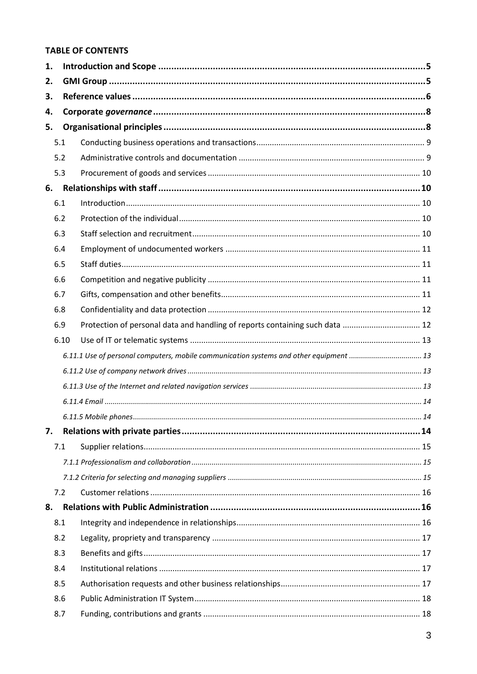## **TABLE OF CONTENTS**

| 1. |      |                                                                                        |  |  |  |  |
|----|------|----------------------------------------------------------------------------------------|--|--|--|--|
| 2. |      |                                                                                        |  |  |  |  |
| 3. |      |                                                                                        |  |  |  |  |
| 4. |      |                                                                                        |  |  |  |  |
| 5. |      |                                                                                        |  |  |  |  |
|    | 5.1  |                                                                                        |  |  |  |  |
|    | 5.2  |                                                                                        |  |  |  |  |
|    | 5.3  |                                                                                        |  |  |  |  |
| 6. |      |                                                                                        |  |  |  |  |
|    | 6.1  |                                                                                        |  |  |  |  |
|    | 6.2  |                                                                                        |  |  |  |  |
|    | 6.3  |                                                                                        |  |  |  |  |
|    | 6.4  |                                                                                        |  |  |  |  |
|    | 6.5  |                                                                                        |  |  |  |  |
|    | 6.6  |                                                                                        |  |  |  |  |
|    | 6.7  |                                                                                        |  |  |  |  |
|    | 6.8  |                                                                                        |  |  |  |  |
|    | 6.9  | Protection of personal data and handling of reports containing such data  12           |  |  |  |  |
|    | 6.10 |                                                                                        |  |  |  |  |
|    |      | 6.11.1 Use of personal computers, mobile communication systems and other equipment  13 |  |  |  |  |
|    |      |                                                                                        |  |  |  |  |
|    |      |                                                                                        |  |  |  |  |
|    |      |                                                                                        |  |  |  |  |
|    |      |                                                                                        |  |  |  |  |
| 7. |      |                                                                                        |  |  |  |  |
|    | 7.1  |                                                                                        |  |  |  |  |
|    |      |                                                                                        |  |  |  |  |
|    |      |                                                                                        |  |  |  |  |
|    | 7.2  |                                                                                        |  |  |  |  |
| 8. |      |                                                                                        |  |  |  |  |
|    | 8.1  |                                                                                        |  |  |  |  |
|    | 8.2  |                                                                                        |  |  |  |  |
|    | 8.3  |                                                                                        |  |  |  |  |
|    | 8.4  |                                                                                        |  |  |  |  |
|    | 8.5  |                                                                                        |  |  |  |  |
|    | 8.6  |                                                                                        |  |  |  |  |
|    | 8.7  |                                                                                        |  |  |  |  |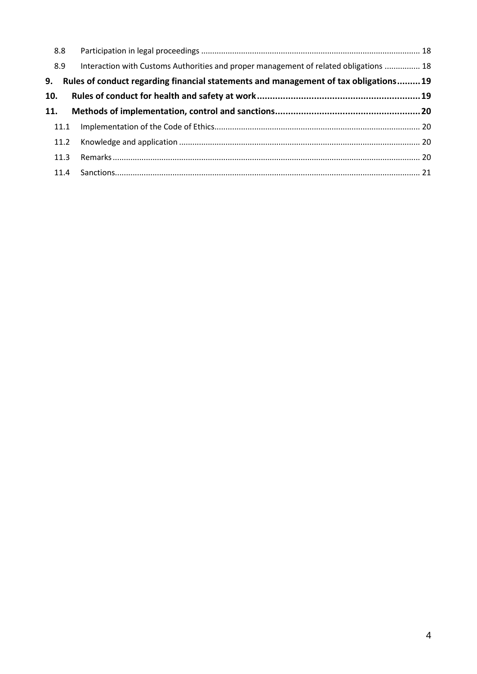| 8.8  |                                                                                                                                                                              |
|------|------------------------------------------------------------------------------------------------------------------------------------------------------------------------------|
|      |                                                                                                                                                                              |
|      |                                                                                                                                                                              |
|      |                                                                                                                                                                              |
|      |                                                                                                                                                                              |
|      |                                                                                                                                                                              |
| 11.2 |                                                                                                                                                                              |
| 11.3 |                                                                                                                                                                              |
|      |                                                                                                                                                                              |
|      | Interaction with Customs Authorities and proper management of related obligations  18<br>Rules of conduct regarding financial statements and management of tax obligations19 |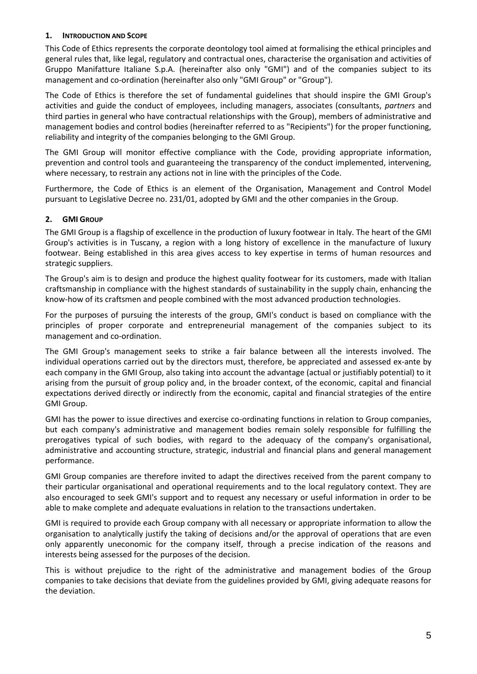#### <span id="page-4-0"></span>**1. INTRODUCTION AND SCOPE**

This Code of Ethics represents the corporate deontology tool aimed at formalising the ethical principles and general rules that, like legal, regulatory and contractual ones, characterise the organisation and activities of Gruppo Manifatture Italiane S.p.A. (hereinafter also only "GMI") and of the companies subject to its management and co-ordination (hereinafter also only "GMI Group" or "Group").

The Code of Ethics is therefore the set of fundamental guidelines that should inspire the GMI Group's activities and guide the conduct of employees, including managers, associates (consultants, *partners* and third parties in general who have contractual relationships with the Group), members of administrative and management bodies and control bodies (hereinafter referred to as "Recipients") for the proper functioning, reliability and integrity of the companies belonging to the GMI Group.

The GMI Group will monitor effective compliance with the Code, providing appropriate information, prevention and control tools and guaranteeing the transparency of the conduct implemented, intervening, where necessary, to restrain any actions not in line with the principles of the Code.

Furthermore, the Code of Ethics is an element of the Organisation, Management and Control Model pursuant to Legislative Decree no. 231/01, adopted by GMI and the other companies in the Group.

## <span id="page-4-1"></span>**2. GMI GROUP**

The GMI Group is a flagship of excellence in the production of luxury footwear in Italy. The heart of the GMI Group's activities is in Tuscany, a region with a long history of excellence in the manufacture of luxury footwear. Being established in this area gives access to key expertise in terms of human resources and strategic suppliers.

The Group's aim is to design and produce the highest quality footwear for its customers, made with Italian craftsmanship in compliance with the highest standards of sustainability in the supply chain, enhancing the know-how of its craftsmen and people combined with the most advanced production technologies.

For the purposes of pursuing the interests of the group, GMI's conduct is based on compliance with the principles of proper corporate and entrepreneurial management of the companies subject to its management and co-ordination.

The GMI Group's management seeks to strike a fair balance between all the interests involved. The individual operations carried out by the directors must, therefore, be appreciated and assessed ex-ante by each company in the GMI Group, also taking into account the advantage (actual or justifiably potential) to it arising from the pursuit of group policy and, in the broader context, of the economic, capital and financial expectations derived directly or indirectly from the economic, capital and financial strategies of the entire GMI Group.

GMI has the power to issue directives and exercise co-ordinating functions in relation to Group companies, but each company's administrative and management bodies remain solely responsible for fulfilling the prerogatives typical of such bodies, with regard to the adequacy of the company's organisational, administrative and accounting structure, strategic, industrial and financial plans and general management performance.

GMI Group companies are therefore invited to adapt the directives received from the parent company to their particular organisational and operational requirements and to the local regulatory context. They are also encouraged to seek GMI's support and to request any necessary or useful information in order to be able to make complete and adequate evaluations in relation to the transactions undertaken.

GMI is required to provide each Group company with all necessary or appropriate information to allow the organisation to analytically justify the taking of decisions and/or the approval of operations that are even only apparently uneconomic for the company itself, through a precise indication of the reasons and interests being assessed for the purposes of the decision.

This is without prejudice to the right of the administrative and management bodies of the Group companies to take decisions that deviate from the guidelines provided by GMI, giving adequate reasons for the deviation.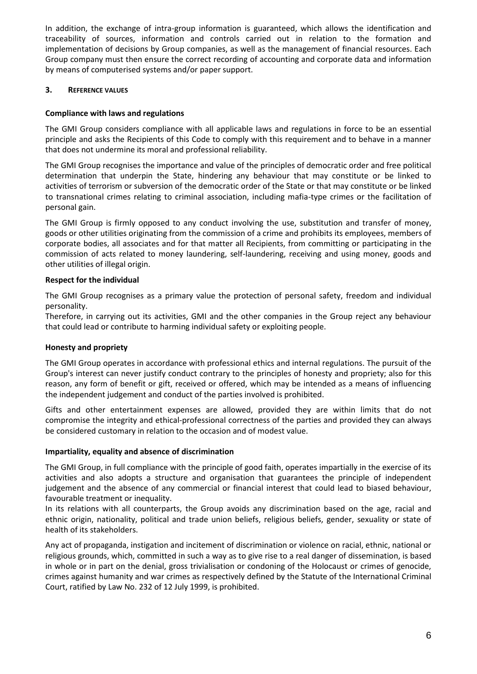In addition, the exchange of intra-group information is guaranteed, which allows the identification and traceability of sources, information and controls carried out in relation to the formation and implementation of decisions by Group companies, as well as the management of financial resources. Each Group company must then ensure the correct recording of accounting and corporate data and information by means of computerised systems and/or paper support.

## <span id="page-5-0"></span>**3. REFERENCE VALUES**

#### **Compliance with laws and regulations**

The GMI Group considers compliance with all applicable laws and regulations in force to be an essential principle and asks the Recipients of this Code to comply with this requirement and to behave in a manner that does not undermine its moral and professional reliability.

The GMI Group recognises the importance and value of the principles of democratic order and free political determination that underpin the State, hindering any behaviour that may constitute or be linked to activities of terrorism or subversion of the democratic order of the State or that may constitute or be linked to transnational crimes relating to criminal association, including mafia-type crimes or the facilitation of personal gain.

The GMI Group is firmly opposed to any conduct involving the use, substitution and transfer of money, goods or other utilities originating from the commission of a crime and prohibits its employees, members of corporate bodies, all associates and for that matter all Recipients, from committing or participating in the commission of acts related to money laundering, self-laundering, receiving and using money, goods and other utilities of illegal origin.

#### **Respect for the individual**

The GMI Group recognises as a primary value the protection of personal safety, freedom and individual personality.

Therefore, in carrying out its activities, GMI and the other companies in the Group reject any behaviour that could lead or contribute to harming individual safety or exploiting people.

#### **Honesty and propriety**

The GMI Group operates in accordance with professional ethics and internal regulations. The pursuit of the Group's interest can never justify conduct contrary to the principles of honesty and propriety; also for this reason, any form of benefit or gift, received or offered, which may be intended as a means of influencing the independent judgement and conduct of the parties involved is prohibited.

Gifts and other entertainment expenses are allowed, provided they are within limits that do not compromise the integrity and ethical-professional correctness of the parties and provided they can always be considered customary in relation to the occasion and of modest value.

#### **Impartiality, equality and absence of discrimination**

The GMI Group, in full compliance with the principle of good faith, operates impartially in the exercise of its activities and also adopts a structure and organisation that guarantees the principle of independent judgement and the absence of any commercial or financial interest that could lead to biased behaviour, favourable treatment or inequality.

In its relations with all counterparts, the Group avoids any discrimination based on the age, racial and ethnic origin, nationality, political and trade union beliefs, religious beliefs, gender, sexuality or state of health of its stakeholders.

Any act of propaganda, instigation and incitement of discrimination or violence on racial, ethnic, national or religious grounds, which, committed in such a way as to give rise to a real danger of dissemination, is based in whole or in part on the denial, gross trivialisation or condoning of the Holocaust or crimes of genocide, crimes against humanity and war crimes as respectively defined by the Statute of the International Criminal Court, ratified by Law No. 232 of 12 July 1999, is prohibited.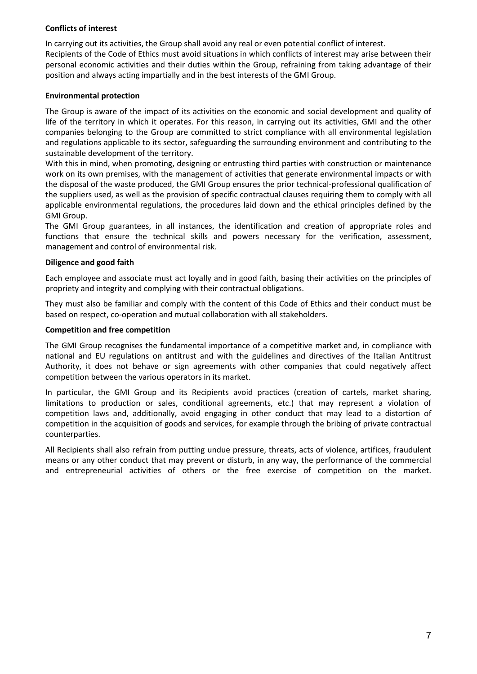#### **Conflicts of interest**

In carrying out its activities, the Group shall avoid any real or even potential conflict of interest. Recipients of the Code of Ethics must avoid situations in which conflicts of interest may arise between their personal economic activities and their duties within the Group, refraining from taking advantage of their position and always acting impartially and in the best interests of the GMI Group.

## **Environmental protection**

The Group is aware of the impact of its activities on the economic and social development and quality of life of the territory in which it operates. For this reason, in carrying out its activities, GMI and the other companies belonging to the Group are committed to strict compliance with all environmental legislation and regulations applicable to its sector, safeguarding the surrounding environment and contributing to the sustainable development of the territory.

With this in mind, when promoting, designing or entrusting third parties with construction or maintenance work on its own premises, with the management of activities that generate environmental impacts or with the disposal of the waste produced, the GMI Group ensures the prior technical-professional qualification of the suppliers used, as well as the provision of specific contractual clauses requiring them to comply with all applicable environmental regulations, the procedures laid down and the ethical principles defined by the GMI Group.

The GMI Group guarantees, in all instances, the identification and creation of appropriate roles and functions that ensure the technical skills and powers necessary for the verification, assessment, management and control of environmental risk.

#### **Diligence and good faith**

Each employee and associate must act loyally and in good faith, basing their activities on the principles of propriety and integrity and complying with their contractual obligations.

They must also be familiar and comply with the content of this Code of Ethics and their conduct must be based on respect, co-operation and mutual collaboration with all stakeholders.

#### **Competition and free competition**

The GMI Group recognises the fundamental importance of a competitive market and, in compliance with national and EU regulations on antitrust and with the guidelines and directives of the Italian Antitrust Authority, it does not behave or sign agreements with other companies that could negatively affect competition between the various operators in its market.

In particular, the GMI Group and its Recipients avoid practices (creation of cartels, market sharing, limitations to production or sales, conditional agreements, etc.) that may represent a violation of competition laws and, additionally, avoid engaging in other conduct that may lead to a distortion of competition in the acquisition of goods and services, for example through the bribing of private contractual counterparties.

All Recipients shall also refrain from putting undue pressure, threats, acts of violence, artifices, fraudulent means or any other conduct that may prevent or disturb, in any way, the performance of the commercial and entrepreneurial activities of others or the free exercise of competition on the market.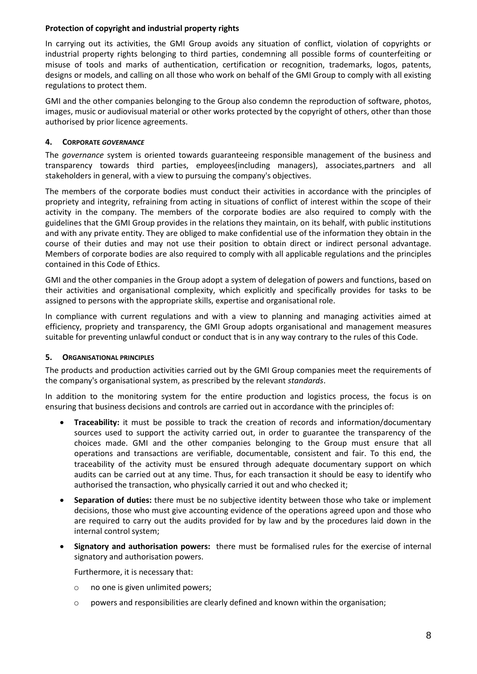## **Protection of copyright and industrial property rights**

In carrying out its activities, the GMI Group avoids any situation of conflict, violation of copyrights or industrial property rights belonging to third parties, condemning all possible forms of counterfeiting or misuse of tools and marks of authentication, certification or recognition, trademarks, logos, patents, designs or models, and calling on all those who work on behalf of the GMI Group to comply with all existing regulations to protect them.

GMI and the other companies belonging to the Group also condemn the reproduction of software, photos, images, music or audiovisual material or other works protected by the copyright of others, other than those authorised by prior licence agreements.

## <span id="page-7-0"></span>**4. CORPORATE** *GOVERNANCE*

The *governance* system is oriented towards guaranteeing responsible management of the business and transparency towards third parties, employees(including managers), associates,partners and all stakeholders in general, with a view to pursuing the company's objectives.

The members of the corporate bodies must conduct their activities in accordance with the principles of propriety and integrity, refraining from acting in situations of conflict of interest within the scope of their activity in the company. The members of the corporate bodies are also required to comply with the guidelines that the GMI Group provides in the relations they maintain, on its behalf, with public institutions and with any private entity. They are obliged to make confidential use of the information they obtain in the course of their duties and may not use their position to obtain direct or indirect personal advantage. Members of corporate bodies are also required to comply with all applicable regulations and the principles contained in this Code of Ethics.

GMI and the other companies in the Group adopt a system of delegation of powers and functions, based on their activities and organisational complexity, which explicitly and specifically provides for tasks to be assigned to persons with the appropriate skills, expertise and organisational role.

In compliance with current regulations and with a view to planning and managing activities aimed at efficiency, propriety and transparency, the GMI Group adopts organisational and management measures suitable for preventing unlawful conduct or conduct that is in any way contrary to the rules of this Code.

## <span id="page-7-1"></span>**5. ORGANISATIONAL PRINCIPLES**

The products and production activities carried out by the GMI Group companies meet the requirements of the company's organisational system, as prescribed by the relevant *standards*.

In addition to the monitoring system for the entire production and logistics process, the focus is on ensuring that business decisions and controls are carried out in accordance with the principles of:

- **Traceability:** it must be possible to track the creation of records and information/documentary sources used to support the activity carried out, in order to guarantee the transparency of the choices made. GMI and the other companies belonging to the Group must ensure that all operations and transactions are verifiable, documentable, consistent and fair. To this end, the traceability of the activity must be ensured through adequate documentary support on which audits can be carried out at any time. Thus, for each transaction it should be easy to identify who authorised the transaction, who physically carried it out and who checked it;
- **Separation of duties:** there must be no subjective identity between those who take or implement decisions, those who must give accounting evidence of the operations agreed upon and those who are required to carry out the audits provided for by law and by the procedures laid down in the internal control system;
- **Signatory and authorisation powers:** there must be formalised rules for the exercise of internal signatory and authorisation powers.

Furthermore, it is necessary that:

- o no one is given unlimited powers;
- o powers and responsibilities are clearly defined and known within the organisation;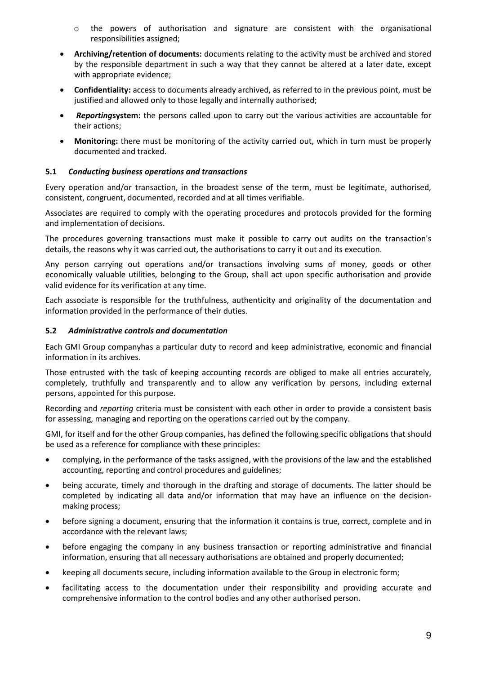- o the powers of authorisation and signature are consistent with the organisational responsibilities assigned;
- **Archiving/retention of documents:** documents relating to the activity must be archived and stored by the responsible department in such a way that they cannot be altered at a later date, except with appropriate evidence;
- **Confidentiality:** access to documents already archived, as referred to in the previous point, must be justified and allowed only to those legally and internally authorised;
- *Reporting***system:** the persons called upon to carry out the various activities are accountable for their actions;
- **Monitoring:** there must be monitoring of the activity carried out, which in turn must be properly documented and tracked.

## <span id="page-8-0"></span>**5.1** *Conducting business operations and transactions*

Every operation and/or transaction, in the broadest sense of the term, must be legitimate, authorised, consistent, congruent, documented, recorded and at all times verifiable.

Associates are required to comply with the operating procedures and protocols provided for the forming and implementation of decisions.

The procedures governing transactions must make it possible to carry out audits on the transaction's details, the reasons why it was carried out, the authorisations to carry it out and its execution.

Any person carrying out operations and/or transactions involving sums of money, goods or other economically valuable utilities, belonging to the Group, shall act upon specific authorisation and provide valid evidence for its verification at any time.

Each associate is responsible for the truthfulness, authenticity and originality of the documentation and information provided in the performance of their duties.

#### <span id="page-8-1"></span>**5.2** *Administrative controls and documentation*

Each GMI Group companyhas a particular duty to record and keep administrative, economic and financial information in its archives.

Those entrusted with the task of keeping accounting records are obliged to make all entries accurately, completely, truthfully and transparently and to allow any verification by persons, including external persons, appointed for this purpose.

Recording and *reporting* criteria must be consistent with each other in order to provide a consistent basis for assessing, managing and reporting on the operations carried out by the company.

GMI, for itself and for the other Group companies, has defined the following specific obligations that should be used as a reference for compliance with these principles:

- complying, in the performance of the tasks assigned, with the provisions of the law and the established accounting, reporting and control procedures and guidelines;
- being accurate, timely and thorough in the drafting and storage of documents. The latter should be completed by indicating all data and/or information that may have an influence on the decisionmaking process;
- before signing a document, ensuring that the information it contains is true, correct, complete and in accordance with the relevant laws;
- before engaging the company in any business transaction or reporting administrative and financial information, ensuring that all necessary authorisations are obtained and properly documented;
- keeping all documents secure, including information available to the Group in electronic form;
- facilitating access to the documentation under their responsibility and providing accurate and comprehensive information to the control bodies and any other authorised person.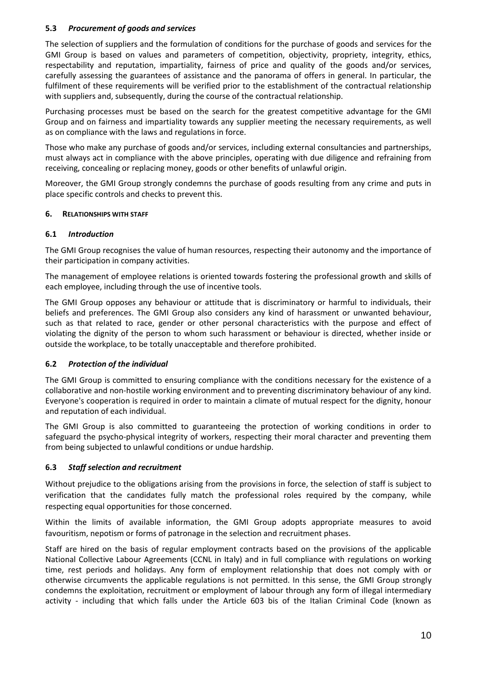## <span id="page-9-0"></span>**5.3** *Procurement of goods and services*

The selection of suppliers and the formulation of conditions for the purchase of goods and services for the GMI Group is based on values and parameters of competition, objectivity, propriety, integrity, ethics, respectability and reputation, impartiality, fairness of price and quality of the goods and/or services, carefully assessing the guarantees of assistance and the panorama of offers in general. In particular, the fulfilment of these requirements will be verified prior to the establishment of the contractual relationship with suppliers and, subsequently, during the course of the contractual relationship.

Purchasing processes must be based on the search for the greatest competitive advantage for the GMI Group and on fairness and impartiality towards any supplier meeting the necessary requirements, as well as on compliance with the laws and regulations in force.

Those who make any purchase of goods and/or services, including external consultancies and partnerships, must always act in compliance with the above principles, operating with due diligence and refraining from receiving, concealing or replacing money, goods or other benefits of unlawful origin.

Moreover, the GMI Group strongly condemns the purchase of goods resulting from any crime and puts in place specific controls and checks to prevent this.

#### <span id="page-9-1"></span>**6. RELATIONSHIPS WITH STAFF**

## <span id="page-9-2"></span>**6.1** *Introduction*

The GMI Group recognises the value of human resources, respecting their autonomy and the importance of their participation in company activities.

The management of employee relations is oriented towards fostering the professional growth and skills of each employee, including through the use of incentive tools.

The GMI Group opposes any behaviour or attitude that is discriminatory or harmful to individuals, their beliefs and preferences. The GMI Group also considers any kind of harassment or unwanted behaviour, such as that related to race, gender or other personal characteristics with the purpose and effect of violating the dignity of the person to whom such harassment or behaviour is directed, whether inside or outside the workplace, to be totally unacceptable and therefore prohibited.

## <span id="page-9-3"></span>**6.2** *Protection of the individual*

The GMI Group is committed to ensuring compliance with the conditions necessary for the existence of a collaborative and non-hostile working environment and to preventing discriminatory behaviour of any kind. Everyone's cooperation is required in order to maintain a climate of mutual respect for the dignity, honour and reputation of each individual.

The GMI Group is also committed to guaranteeing the protection of working conditions in order to safeguard the psycho-physical integrity of workers, respecting their moral character and preventing them from being subjected to unlawful conditions or undue hardship.

## <span id="page-9-4"></span>**6.3** *Staff selection and recruitment*

Without prejudice to the obligations arising from the provisions in force, the selection of staff is subject to verification that the candidates fully match the professional roles required by the company, while respecting equal opportunities for those concerned.

Within the limits of available information, the GMI Group adopts appropriate measures to avoid favouritism, nepotism or forms of patronage in the selection and recruitment phases.

Staff are hired on the basis of regular employment contracts based on the provisions of the applicable National Collective Labour Agreements (CCNL in Italy) and in full compliance with regulations on working time, rest periods and holidays. Any form of employment relationship that does not comply with or otherwise circumvents the applicable regulations is not permitted. In this sense, the GMI Group strongly condemns the exploitation, recruitment or employment of labour through any form of illegal intermediary activity - including that which falls under the Article 603 bis of the Italian Criminal Code (known as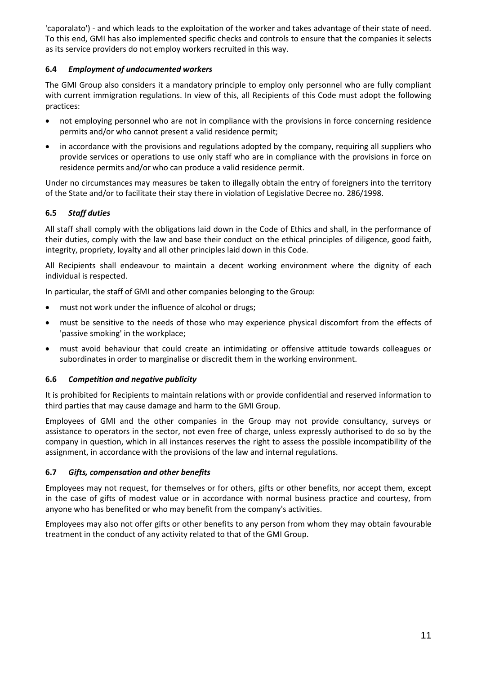'caporalato') - and which leads to the exploitation of the worker and takes advantage of their state of need. To this end, GMI has also implemented specific checks and controls to ensure that the companies it selects as its service providers do not employ workers recruited in this way.

## <span id="page-10-0"></span>**6.4** *Employment of undocumented workers*

The GMI Group also considers it a mandatory principle to employ only personnel who are fully compliant with current immigration regulations. In view of this, all Recipients of this Code must adopt the following practices:

- not employing personnel who are not in compliance with the provisions in force concerning residence permits and/or who cannot present a valid residence permit;
- in accordance with the provisions and regulations adopted by the company, requiring all suppliers who provide services or operations to use only staff who are in compliance with the provisions in force on residence permits and/or who can produce a valid residence permit.

Under no circumstances may measures be taken to illegally obtain the entry of foreigners into the territory of the State and/or to facilitate their stay there in violation of Legislative Decree no. 286/1998.

## <span id="page-10-1"></span>**6.5** *Staff duties*

All staff shall comply with the obligations laid down in the Code of Ethics and shall, in the performance of their duties, comply with the law and base their conduct on the ethical principles of diligence, good faith, integrity, propriety, loyalty and all other principles laid down in this Code.

All Recipients shall endeavour to maintain a decent working environment where the dignity of each individual is respected.

In particular, the staff of GMI and other companies belonging to the Group:

- must not work under the influence of alcohol or drugs;
- must be sensitive to the needs of those who may experience physical discomfort from the effects of 'passive smoking' in the workplace;
- must avoid behaviour that could create an intimidating or offensive attitude towards colleagues or subordinates in order to marginalise or discredit them in the working environment.

## <span id="page-10-2"></span>**6.6** *Competition and negative publicity*

It is prohibited for Recipients to maintain relations with or provide confidential and reserved information to third parties that may cause damage and harm to the GMI Group.

Employees of GMI and the other companies in the Group may not provide consultancy, surveys or assistance to operators in the sector, not even free of charge, unless expressly authorised to do so by the company in question, which in all instances reserves the right to assess the possible incompatibility of the assignment, in accordance with the provisions of the law and internal regulations.

## <span id="page-10-3"></span>**6.7** *Gifts, compensation and other benefits*

Employees may not request, for themselves or for others, gifts or other benefits, nor accept them, except in the case of gifts of modest value or in accordance with normal business practice and courtesy, from anyone who has benefited or who may benefit from the company's activities.

Employees may also not offer gifts or other benefits to any person from whom they may obtain favourable treatment in the conduct of any activity related to that of the GMI Group.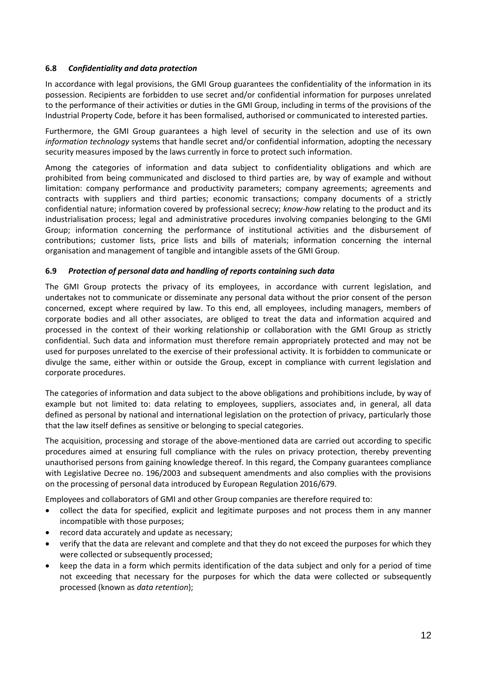## <span id="page-11-0"></span>**6.8** *Confidentiality and data protection*

In accordance with legal provisions, the GMI Group guarantees the confidentiality of the information in its possession. Recipients are forbidden to use secret and/or confidential information for purposes unrelated to the performance of their activities or duties in the GMI Group, including in terms of the provisions of the Industrial Property Code, before it has been formalised, authorised or communicated to interested parties.

Furthermore, the GMI Group guarantees a high level of security in the selection and use of its own *information technology* systems that handle secret and/or confidential information, adopting the necessary security measures imposed by the laws currently in force to protect such information.

Among the categories of information and data subject to confidentiality obligations and which are prohibited from being communicated and disclosed to third parties are, by way of example and without limitation: company performance and productivity parameters; company agreements; agreements and contracts with suppliers and third parties; economic transactions; company documents of a strictly confidential nature; information covered by professional secrecy; *know-how* relating to the product and its industrialisation process; legal and administrative procedures involving companies belonging to the GMI Group; information concerning the performance of institutional activities and the disbursement of contributions; customer lists, price lists and bills of materials; information concerning the internal organisation and management of tangible and intangible assets of the GMI Group.

#### <span id="page-11-1"></span>**6.9** *Protection of personal data and handling of reports containing such data*

The GMI Group protects the privacy of its employees, in accordance with current legislation, and undertakes not to communicate or disseminate any personal data without the prior consent of the person concerned, except where required by law. To this end, all employees, including managers, members of corporate bodies and all other associates, are obliged to treat the data and information acquired and processed in the context of their working relationship or collaboration with the GMI Group as strictly confidential. Such data and information must therefore remain appropriately protected and may not be used for purposes unrelated to the exercise of their professional activity. It is forbidden to communicate or divulge the same, either within or outside the Group, except in compliance with current legislation and corporate procedures.

The categories of information and data subject to the above obligations and prohibitions include, by way of example but not limited to: data relating to employees, suppliers, associates and, in general, all data defined as personal by national and international legislation on the protection of privacy, particularly those that the law itself defines as sensitive or belonging to special categories.

The acquisition, processing and storage of the above-mentioned data are carried out according to specific procedures aimed at ensuring full compliance with the rules on privacy protection, thereby preventing unauthorised persons from gaining knowledge thereof. In this regard, the Company guarantees compliance with Legislative Decree no. 196/2003 and subsequent amendments and also complies with the provisions on the processing of personal data introduced by European Regulation 2016/679.

Employees and collaborators of GMI and other Group companies are therefore required to:

- collect the data for specified, explicit and legitimate purposes and not process them in any manner incompatible with those purposes;
- record data accurately and update as necessary;
- verify that the data are relevant and complete and that they do not exceed the purposes for which they were collected or subsequently processed;
- keep the data in a form which permits identification of the data subject and only for a period of time not exceeding that necessary for the purposes for which the data were collected or subsequently processed (known as *data retention*);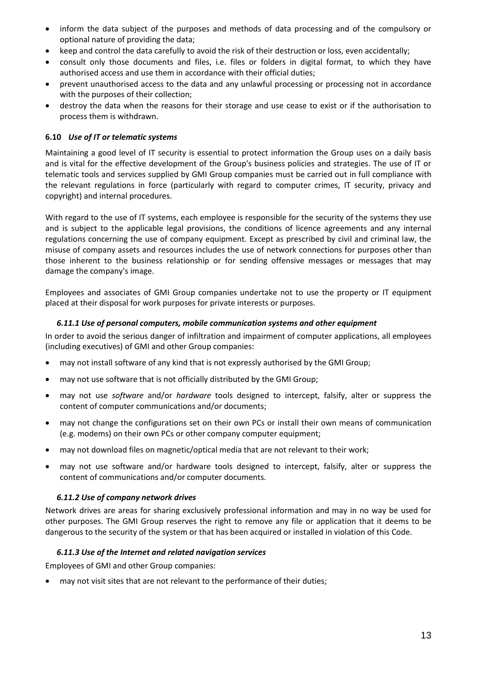- inform the data subject of the purposes and methods of data processing and of the compulsory or optional nature of providing the data;
- keep and control the data carefully to avoid the risk of their destruction or loss, even accidentally;
- consult only those documents and files, i.e. files or folders in digital format, to which they have authorised access and use them in accordance with their official duties;
- prevent unauthorised access to the data and any unlawful processing or processing not in accordance with the purposes of their collection;
- destroy the data when the reasons for their storage and use cease to exist or if the authorisation to process them is withdrawn.

#### <span id="page-12-0"></span>**6.10** *Use of IT or telematic systems*

Maintaining a good level of IT security is essential to protect information the Group uses on a daily basis and is vital for the effective development of the Group's business policies and strategies. The use of IT or telematic tools and services supplied by GMI Group companies must be carried out in full compliance with the relevant regulations in force (particularly with regard to computer crimes, IT security, privacy and copyright) and internal procedures.

With regard to the use of IT systems, each employee is responsible for the security of the systems they use and is subject to the applicable legal provisions, the conditions of licence agreements and any internal regulations concerning the use of company equipment. Except as prescribed by civil and criminal law, the misuse of company assets and resources includes the use of network connections for purposes other than those inherent to the business relationship or for sending offensive messages or messages that may damage the company's image.

Employees and associates of GMI Group companies undertake not to use the property or IT equipment placed at their disposal for work purposes for private interests or purposes.

#### <span id="page-12-1"></span>*6.11.1 Use of personal computers, mobile communication systems and other equipment*

In order to avoid the serious danger of infiltration and impairment of computer applications, all employees (including executives) of GMI and other Group companies:

- may not install software of any kind that is not expressly authorised by the GMI Group;
- may not use software that is not officially distributed by the GMI Group;
- may not use *software* and/or *hardware* tools designed to intercept, falsify, alter or suppress the content of computer communications and/or documents;
- may not change the configurations set on their own PCs or install their own means of communication (e.g. modems) on their own PCs or other company computer equipment;
- may not download files on magnetic/optical media that are not relevant to their work;
- may not use software and/or hardware tools designed to intercept, falsify, alter or suppress the content of communications and/or computer documents.

#### <span id="page-12-2"></span>*6.11.2 Use of company network drives*

Network drives are areas for sharing exclusively professional information and may in no way be used for other purposes. The GMI Group reserves the right to remove any file or application that it deems to be dangerous to the security of the system or that has been acquired or installed in violation of this Code.

#### <span id="page-12-3"></span>*6.11.3 Use of the Internet and related navigation services*

Employees of GMI and other Group companies:

• may not visit sites that are not relevant to the performance of their duties;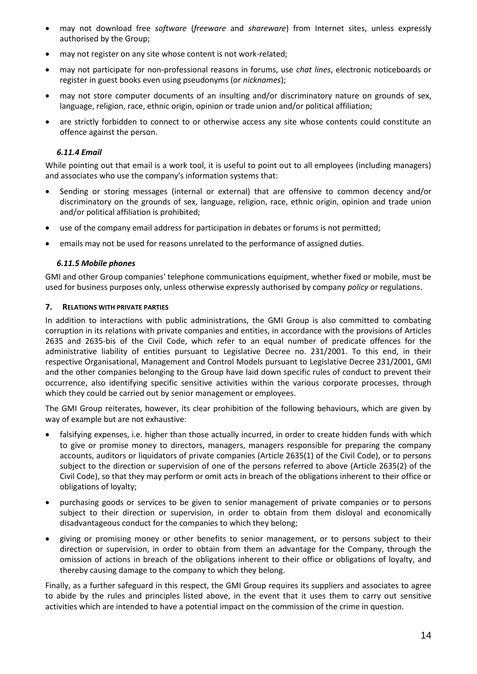- may not download free *software* (*freeware* and *shareware*) from Internet sites, unless expressly authorised by the Group;
- may not register on any site whose content is not work-related;
- may not participate for non-professional reasons in forums, use *chat lines*, electronic noticeboards or register in guest books even using pseudonyms (or *nicknames*);
- may not store computer documents of an insulting and/or discriminatory nature on grounds of sex, language, religion, race, ethnic origin, opinion or trade union and/or political affiliation;
- are strictly forbidden to connect to or otherwise access any site whose contents could constitute an offence against the person.

## <span id="page-13-0"></span>*6.11.4 Email*

While pointing out that email is a work tool, it is useful to point out to all employees (including managers) and associates who use the company's information systems that:

- Sending or storing messages (internal or external) that are offensive to common decency and/or discriminatory on the grounds of sex, language, religion, race, ethnic origin, opinion and trade union and/or political affiliation is prohibited;
- use of the company email address for participation in debates or forums is not permitted;
- emails may not be used for reasons unrelated to the performance of assigned duties.

#### <span id="page-13-1"></span>*6.11.5 Mobile phones*

GMI and other Group companies' telephone communications equipment, whether fixed or mobile, must be used for business purposes only, unless otherwise expressly authorised by company *policy* or regulations.

#### <span id="page-13-2"></span>**7. RELATIONS WITH PRIVATE PARTIES**

In addition to interactions with public administrations, the GMI Group is also committed to combating corruption in its relations with private companies and entities, in accordance with the provisions of Articles 2635 and 2635-bis of the Civil Code, which refer to an equal number of predicate offences for the administrative liability of entities pursuant to Legislative Decree no. 231/2001. To this end, in their respective Organisational, Management and Control Models pursuant to Legislative Decree 231/2001, GMI and the other companies belonging to the Group have laid down specific rules of conduct to prevent their occurrence, also identifying specific sensitive activities within the various corporate processes, through which they could be carried out by senior management or employees.

The GMI Group reiterates, however, its clear prohibition of the following behaviours, which are given by way of example but are not exhaustive:

- falsifying expenses, i.e. higher than those actually incurred, in order to create hidden funds with which to give or promise money to directors, managers, managers responsible for preparing the company accounts, auditors or liquidators of private companies (Article 2635(1) of the Civil Code), or to persons subject to the direction or supervision of one of the persons referred to above (Article 2635(2) of the Civil Code), so that they may perform or omit acts in breach of the obligations inherent to their office or obligations of loyalty;
- purchasing goods or services to be given to senior management of private companies or to persons subject to their direction or supervision, in order to obtain from them disloyal and economically disadvantageous conduct for the companies to which they belong;
- giving or promising money or other benefits to senior management, or to persons subject to their direction or supervision, in order to obtain from them an advantage for the Company, through the omission of actions in breach of the obligations inherent to their office or obligations of loyalty, and thereby causing damage to the company to which they belong.

Finally, as a further safeguard in this respect, the GMI Group requires its suppliers and associates to agree to abide by the rules and principles listed above, in the event that it uses them to carry out sensitive activities which are intended to have a potential impact on the commission of the crime in question.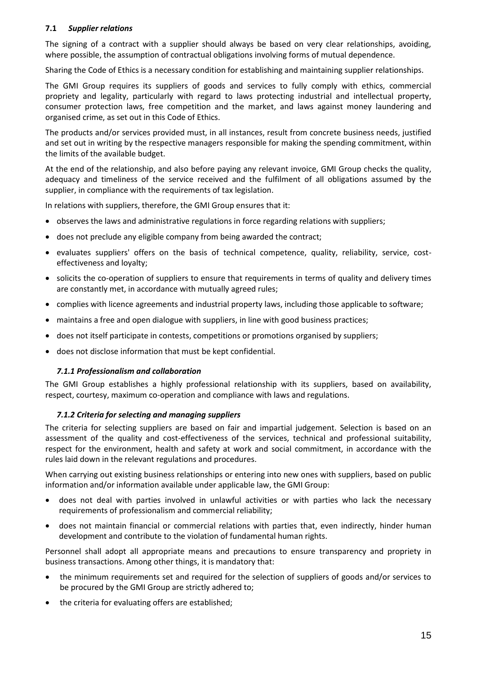## <span id="page-14-0"></span>**7.1** *Supplier relations*

The signing of a contract with a supplier should always be based on very clear relationships, avoiding, where possible, the assumption of contractual obligations involving forms of mutual dependence.

Sharing the Code of Ethics is a necessary condition for establishing and maintaining supplier relationships.

The GMI Group requires its suppliers of goods and services to fully comply with ethics, commercial propriety and legality, particularly with regard to laws protecting industrial and intellectual property, consumer protection laws, free competition and the market, and laws against money laundering and organised crime, as set out in this Code of Ethics.

The products and/or services provided must, in all instances, result from concrete business needs, justified and set out in writing by the respective managers responsible for making the spending commitment, within the limits of the available budget.

At the end of the relationship, and also before paying any relevant invoice, GMI Group checks the quality, adequacy and timeliness of the service received and the fulfilment of all obligations assumed by the supplier, in compliance with the requirements of tax legislation.

In relations with suppliers, therefore, the GMI Group ensures that it:

- observes the laws and administrative regulations in force regarding relations with suppliers;
- does not preclude any eligible company from being awarded the contract;
- evaluates suppliers' offers on the basis of technical competence, quality, reliability, service, costeffectiveness and loyalty;
- solicits the co-operation of suppliers to ensure that requirements in terms of quality and delivery times are constantly met, in accordance with mutually agreed rules;
- complies with licence agreements and industrial property laws, including those applicable to software;
- maintains a free and open dialogue with suppliers, in line with good business practices;
- does not itself participate in contests, competitions or promotions organised by suppliers;
- does not disclose information that must be kept confidential.

## <span id="page-14-1"></span>*7.1.1 Professionalism and collaboration*

The GMI Group establishes a highly professional relationship with its suppliers, based on availability, respect, courtesy, maximum co-operation and compliance with laws and regulations.

#### <span id="page-14-2"></span>*7.1.2 Criteria for selecting and managing suppliers*

The criteria for selecting suppliers are based on fair and impartial judgement. Selection is based on an assessment of the quality and cost-effectiveness of the services, technical and professional suitability, respect for the environment, health and safety at work and social commitment, in accordance with the rules laid down in the relevant regulations and procedures.

When carrying out existing business relationships or entering into new ones with suppliers, based on public information and/or information available under applicable law, the GMI Group:

- does not deal with parties involved in unlawful activities or with parties who lack the necessary requirements of professionalism and commercial reliability;
- does not maintain financial or commercial relations with parties that, even indirectly, hinder human development and contribute to the violation of fundamental human rights.

Personnel shall adopt all appropriate means and precautions to ensure transparency and propriety in business transactions. Among other things, it is mandatory that:

- the minimum requirements set and required for the selection of suppliers of goods and/or services to be procured by the GMI Group are strictly adhered to;
- the criteria for evaluating offers are established;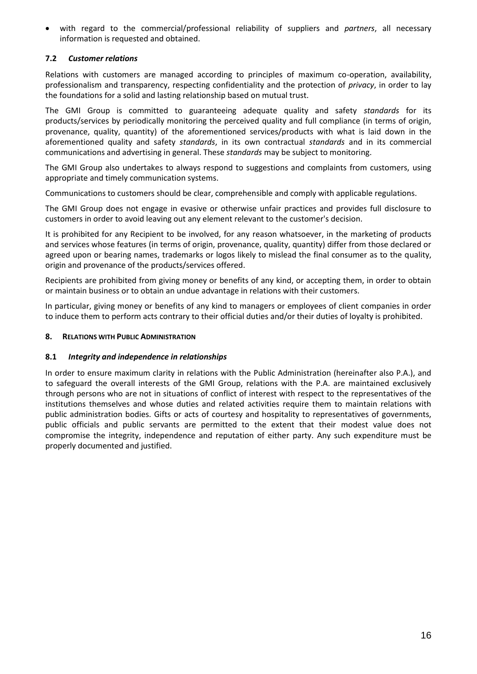• with regard to the commercial/professional reliability of suppliers and *partners*, all necessary information is requested and obtained.

## <span id="page-15-0"></span>**7.2** *Customer relations*

Relations with customers are managed according to principles of maximum co-operation, availability, professionalism and transparency, respecting confidentiality and the protection of *privacy*, in order to lay the foundations for a solid and lasting relationship based on mutual trust.

The GMI Group is committed to guaranteeing adequate quality and safety *standards* for its products/services by periodically monitoring the perceived quality and full compliance (in terms of origin, provenance, quality, quantity) of the aforementioned services/products with what is laid down in the aforementioned quality and safety *standards*, in its own contractual *standards* and in its commercial communications and advertising in general. These *standards* may be subject to monitoring.

The GMI Group also undertakes to always respond to suggestions and complaints from customers, using appropriate and timely communication systems.

Communications to customers should be clear, comprehensible and comply with applicable regulations.

The GMI Group does not engage in evasive or otherwise unfair practices and provides full disclosure to customers in order to avoid leaving out any element relevant to the customer's decision.

It is prohibited for any Recipient to be involved, for any reason whatsoever, in the marketing of products and services whose features (in terms of origin, provenance, quality, quantity) differ from those declared or agreed upon or bearing names, trademarks or logos likely to mislead the final consumer as to the quality, origin and provenance of the products/services offered.

Recipients are prohibited from giving money or benefits of any kind, or accepting them, in order to obtain or maintain business or to obtain an undue advantage in relations with their customers.

In particular, giving money or benefits of any kind to managers or employees of client companies in order to induce them to perform acts contrary to their official duties and/or their duties of loyalty is prohibited.

## <span id="page-15-1"></span>**8. RELATIONS WITH PUBLIC ADMINISTRATION**

#### <span id="page-15-2"></span>**8.1** *Integrity and independence in relationships*

<span id="page-15-3"></span>In order to ensure maximum clarity in relations with the Public Administration (hereinafter also P.A.), and to safeguard the overall interests of the GMI Group, relations with the P.A. are maintained exclusively through persons who are not in situations of conflict of interest with respect to the representatives of the institutions themselves and whose duties and related activities require them to maintain relations with public administration bodies. Gifts or acts of courtesy and hospitality to representatives of governments, public officials and public servants are permitted to the extent that their modest value does not compromise the integrity, independence and reputation of either party. Any such expenditure must be properly documented and justified.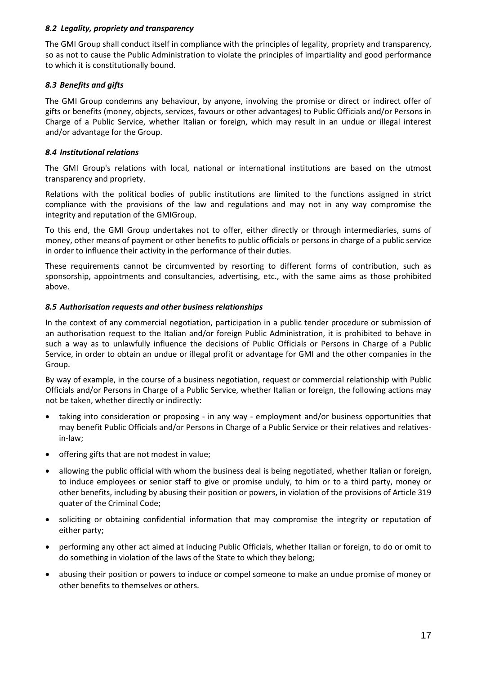#### *8.2 Legality, propriety and transparency*

The GMI Group shall conduct itself in compliance with the principles of legality, propriety and transparency, so as not to cause the Public Administration to violate the principles of impartiality and good performance to which it is constitutionally bound.

## <span id="page-16-0"></span>*8.3 Benefits and gifts*

The GMI Group condemns any behaviour, by anyone, involving the promise or direct or indirect offer of gifts or benefits (money, objects, services, favours or other advantages) to Public Officials and/or Persons in Charge of a Public Service, whether Italian or foreign, which may result in an undue or illegal interest and/or advantage for the Group.

## <span id="page-16-1"></span>*8.4 Institutional relations*

The GMI Group's relations with local, national or international institutions are based on the utmost transparency and propriety.

Relations with the political bodies of public institutions are limited to the functions assigned in strict compliance with the provisions of the law and regulations and may not in any way compromise the integrity and reputation of the GMIGroup.

To this end, the GMI Group undertakes not to offer, either directly or through intermediaries, sums of money, other means of payment or other benefits to public officials or persons in charge of a public service in order to influence their activity in the performance of their duties.

These requirements cannot be circumvented by resorting to different forms of contribution, such as sponsorship, appointments and consultancies, advertising, etc., with the same aims as those prohibited above.

## <span id="page-16-2"></span>*8.5 Authorisation requests and other business relationships*

In the context of any commercial negotiation, participation in a public tender procedure or submission of an authorisation request to the Italian and/or foreign Public Administration, it is prohibited to behave in such a way as to unlawfully influence the decisions of Public Officials or Persons in Charge of a Public Service, in order to obtain an undue or illegal profit or advantage for GMI and the other companies in the Group.

By way of example, in the course of a business negotiation, request or commercial relationship with Public Officials and/or Persons in Charge of a Public Service, whether Italian or foreign, the following actions may not be taken, whether directly or indirectly:

- taking into consideration or proposing in any way employment and/or business opportunities that may benefit Public Officials and/or Persons in Charge of a Public Service or their relatives and relativesin-law;
- offering gifts that are not modest in value;
- allowing the public official with whom the business deal is being negotiated, whether Italian or foreign, to induce employees or senior staff to give or promise unduly, to him or to a third party, money or other benefits, including by abusing their position or powers, in violation of the provisions of Article 319 quater of the Criminal Code;
- soliciting or obtaining confidential information that may compromise the integrity or reputation of either party;
- performing any other act aimed at inducing Public Officials, whether Italian or foreign, to do or omit to do something in violation of the laws of the State to which they belong;
- abusing their position or powers to induce or compel someone to make an undue promise of money or other benefits to themselves or others.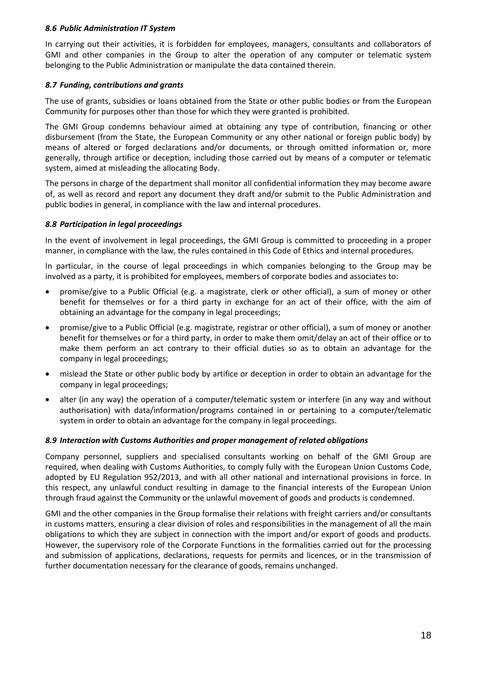#### <span id="page-17-0"></span>*8.6 Public Administration IT System*

In carrying out their activities, it is forbidden for employees, managers, consultants and collaborators of GMI and other companies in the Group to alter the operation of any computer or telematic system belonging to the Public Administration or manipulate the data contained therein.

## <span id="page-17-1"></span>*8.7 Funding, contributions and grants*

The use of grants, subsidies or loans obtained from the State or other public bodies or from the European Community for purposes other than those for which they were granted is prohibited.

The GMI Group condemns behaviour aimed at obtaining any type of contribution, financing or other disbursement (from the State, the European Community or any other national or foreign public body) by means of altered or forged declarations and/or documents, or through omitted information or, more generally, through artifice or deception, including those carried out by means of a computer or telematic system, aimed at misleading the allocating Body.

The persons in charge of the department shall monitor all confidential information they may become aware of, as well as record and report any document they draft and/or submit to the Public Administration and public bodies in general, in compliance with the law and internal procedures.

#### <span id="page-17-2"></span>*8.8 Participation in legal proceedings*

In the event of involvement in legal proceedings, the GMI Group is committed to proceeding in a proper manner, in compliance with the law, the rules contained in this Code of Ethics and internal procedures.

In particular, in the course of legal proceedings in which companies belonging to the Group may be involved as a party, it is prohibited for employees, members of corporate bodies and associates to:

- promise/give to a Public Official (e.g. a magistrate, clerk or other official), a sum of money or other benefit for themselves or for a third party in exchange for an act of their office, with the aim of obtaining an advantage for the company in legal proceedings;
- promise/give to a Public Official (e.g. magistrate, registrar or other official), a sum of money or another benefit for themselves or for a third party, in order to make them omit/delay an act of their office or to make them perform an act contrary to their official duties so as to obtain an advantage for the company in legal proceedings;
- mislead the State or other public body by artifice or deception in order to obtain an advantage for the company in legal proceedings;
- alter (in any way) the operation of a computer/telematic system or interfere (in any way and without authorisation) with data/information/programs contained in or pertaining to a computer/telematic system in order to obtain an advantage for the company in legal proceedings.

#### <span id="page-17-3"></span>*8.9 Interaction with Customs Authorities and proper management of related obligations*

Company personnel, suppliers and specialised consultants working on behalf of the GMI Group are required, when dealing with Customs Authorities, to comply fully with the European Union Customs Code, adopted by EU Regulation 952/2013, and with all other national and international provisions in force. In this respect, any unlawful conduct resulting in damage to the financial interests of the European Union through fraud against the Community or the unlawful movement of goods and products is condemned.

GMI and the other companies in the Group formalise their relations with freight carriers and/or consultants in customs matters, ensuring a clear division of roles and responsibilities in the management of all the main obligations to which they are subject in connection with the import and/or export of goods and products. However, the supervisory role of the Corporate Functions in the formalities carried out for the processing and submission of applications, declarations, requests for permits and licences, or in the transmission of further documentation necessary for the clearance of goods, remains unchanged.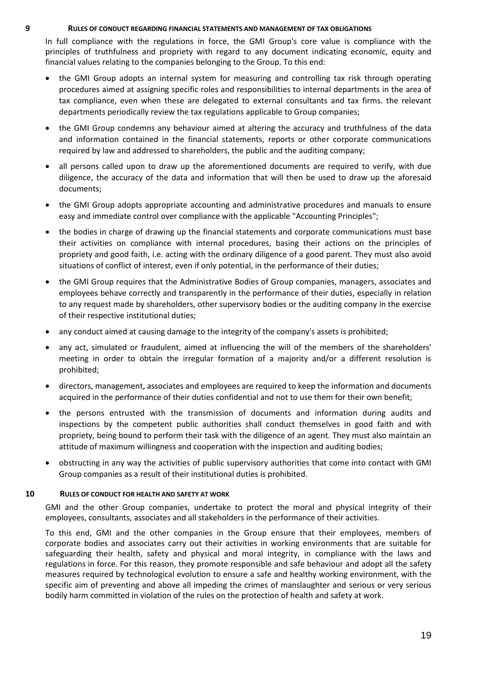#### **9 RULES OF CONDUCT REGARDING FINANCIAL STATEMENTS AND MANAGEMENT OF TAX OBLIGATIONS**

<span id="page-18-0"></span>In full compliance with the regulations in force, the GMI Group's core value is compliance with the principles of truthfulness and propriety with regard to any document indicating economic, equity and financial values relating to the companies belonging to the Group. To this end:

- the GMI Group adopts an internal system for measuring and controlling tax risk through operating procedures aimed at assigning specific roles and responsibilities to internal departments in the area of tax compliance, even when these are delegated to external consultants and tax firms. the relevant departments periodically review the tax regulations applicable to Group companies;
- the GMI Group condemns any behaviour aimed at altering the accuracy and truthfulness of the data and information contained in the financial statements, reports or other corporate communications required by law and addressed to shareholders, the public and the auditing company;
- all persons called upon to draw up the aforementioned documents are required to verify, with due diligence, the accuracy of the data and information that will then be used to draw up the aforesaid documents;
- the GMI Group adopts appropriate accounting and administrative procedures and manuals to ensure easy and immediate control over compliance with the applicable "Accounting Principles";
- the bodies in charge of drawing up the financial statements and corporate communications must base their activities on compliance with internal procedures, basing their actions on the principles of propriety and good faith, i.e. acting with the ordinary diligence of a good parent. They must also avoid situations of conflict of interest, even if only potential, in the performance of their duties;
- the GMI Group requires that the Administrative Bodies of Group companies, managers, associates and employees behave correctly and transparently in the performance of their duties, especially in relation to any request made by shareholders, other supervisory bodies or the auditing company in the exercise of their respective institutional duties;
- any conduct aimed at causing damage to the integrity of the company's assets is prohibited;
- any act, simulated or fraudulent, aimed at influencing the will of the members of the shareholders' meeting in order to obtain the irregular formation of a majority and/or a different resolution is prohibited;
- directors, management, associates and employees are required to keep the information and documents acquired in the performance of their duties confidential and not to use them for their own benefit;
- the persons entrusted with the transmission of documents and information during audits and inspections by the competent public authorities shall conduct themselves in good faith and with propriety, being bound to perform their task with the diligence of an agent. They must also maintain an attitude of maximum willingness and cooperation with the inspection and auditing bodies;
- obstructing in any way the activities of public supervisory authorities that come into contact with GMI Group companies as a result of their institutional duties is prohibited.

## **10 RULES OF CONDUCT FOR HEALTH AND SAFETY AT WORK**

<span id="page-18-1"></span>GMI and the other Group companies, undertake to protect the moral and physical integrity of their employees, consultants, associates and all stakeholders in the performance of their activities.

To this end, GMI and the other companies in the Group ensure that their employees, members of corporate bodies and associates carry out their activities in working environments that are suitable for safeguarding their health, safety and physical and moral integrity, in compliance with the laws and regulations in force. For this reason, they promote responsible and safe behaviour and adopt all the safety measures required by technological evolution to ensure a safe and healthy working environment, with the specific aim of preventing and above all impeding the crimes of manslaughter and serious or very serious bodily harm committed in violation of the rules on the protection of health and safety at work.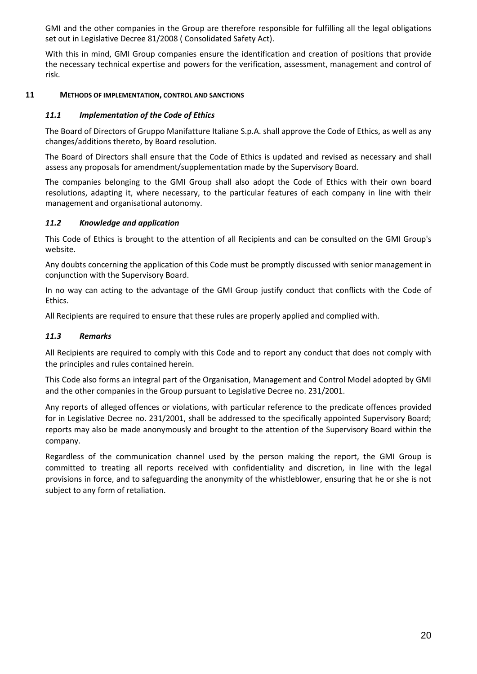GMI and the other companies in the Group are therefore responsible for fulfilling all the legal obligations set out in Legislative Decree 81/2008 ( Consolidated Safety Act).

With this in mind, GMI Group companies ensure the identification and creation of positions that provide the necessary technical expertise and powers for the verification, assessment, management and control of risk.

## <span id="page-19-0"></span>**11 METHODS OF IMPLEMENTATION, CONTROL AND SANCTIONS**

## <span id="page-19-1"></span>*11.1 Implementation of the Code of Ethics*

The Board of Directors of Gruppo Manifatture Italiane S.p.A. shall approve the Code of Ethics, as well as any changes/additions thereto, by Board resolution.

The Board of Directors shall ensure that the Code of Ethics is updated and revised as necessary and shall assess any proposals for amendment/supplementation made by the Supervisory Board.

The companies belonging to the GMI Group shall also adopt the Code of Ethics with their own board resolutions, adapting it, where necessary, to the particular features of each company in line with their management and organisational autonomy.

#### <span id="page-19-2"></span>*11.2 Knowledge and application*

This Code of Ethics is brought to the attention of all Recipients and can be consulted on the GMI Group's website.

Any doubts concerning the application of this Code must be promptly discussed with senior management in conjunction with the Supervisory Board.

In no way can acting to the advantage of the GMI Group justify conduct that conflicts with the Code of Ethics.

All Recipients are required to ensure that these rules are properly applied and complied with.

#### <span id="page-19-3"></span>*11.3 Remarks*

All Recipients are required to comply with this Code and to report any conduct that does not comply with the principles and rules contained herein.

This Code also forms an integral part of the Organisation, Management and Control Model adopted by GMI and the other companies in the Group pursuant to Legislative Decree no. 231/2001.

Any reports of alleged offences or violations, with particular reference to the predicate offences provided for in Legislative Decree no. 231/2001, shall be addressed to the specifically appointed Supervisory Board; reports may also be made anonymously and brought to the attention of the Supervisory Board within the company.

Regardless of the communication channel used by the person making the report, the GMI Group is committed to treating all reports received with confidentiality and discretion, in line with the legal provisions in force, and to safeguarding the anonymity of the whistleblower, ensuring that he or she is not subject to any form of retaliation.